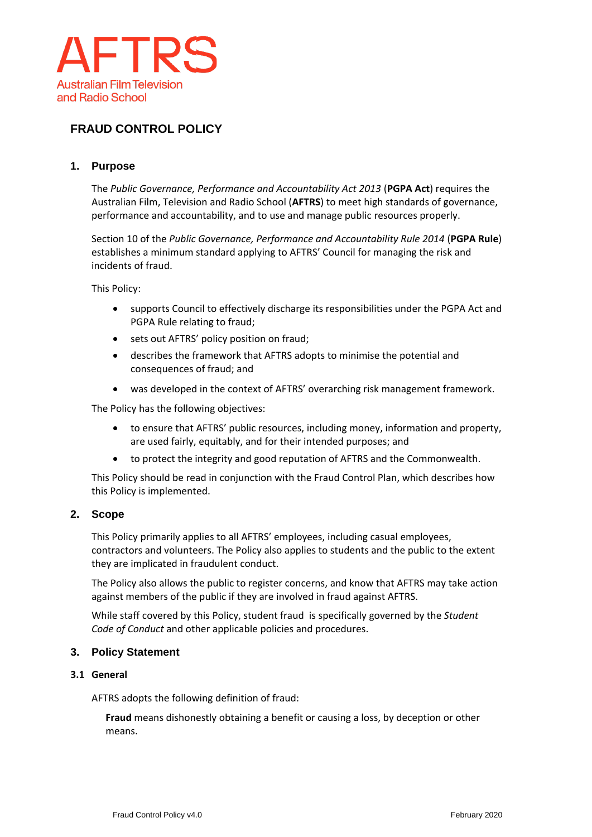

# **FRAUD CONTROL POLICY**

## **1. Purpose**

The *Public Governance, Performance and Accountability Act 2013* (**PGPA Act**) requires the Australian Film, Television and Radio School (**AFTRS**) to meet high standards of governance, performance and accountability, and to use and manage public resources properly.

Section 10 of the *Public Governance, Performance and Accountability Rule 2014* (**PGPA Rule**) establishes a minimum standard applying to AFTRS' Council for managing the risk and incidents of fraud.

This Policy:

- supports Council to effectively discharge its responsibilities under the PGPA Act and PGPA Rule relating to fraud;
- sets out AFTRS' policy position on fraud;
- describes the framework that AFTRS adopts to minimise the potential and consequences of fraud; and
- was developed in the context of AFTRS' overarching risk management framework.

The Policy has the following objectives:

- to ensure that AFTRS' public resources, including money, information and property, are used fairly, equitably, and for their intended purposes; and
- to protect the integrity and good reputation of AFTRS and the Commonwealth.

This Policy should be read in conjunction with the Fraud Control Plan, which describes how this Policy is implemented.

## **2. Scope**

This Policy primarily applies to all AFTRS' employees, including casual employees, contractors and volunteers. The Policy also applies to students and the public to the extent they are implicated in fraudulent conduct.

The Policy also allows the public to register concerns, and know that AFTRS may take action against members of the public if they are involved in fraud against AFTRS.

While staff covered by this Policy, student fraud is specifically governed by the *Student Code of Conduct* and other applicable policies and procedures.

# **3. Policy Statement**

#### **3.1 General**

AFTRS adopts the following definition of fraud:

**Fraud** means dishonestly obtaining a benefit or causing a loss, by deception or other means.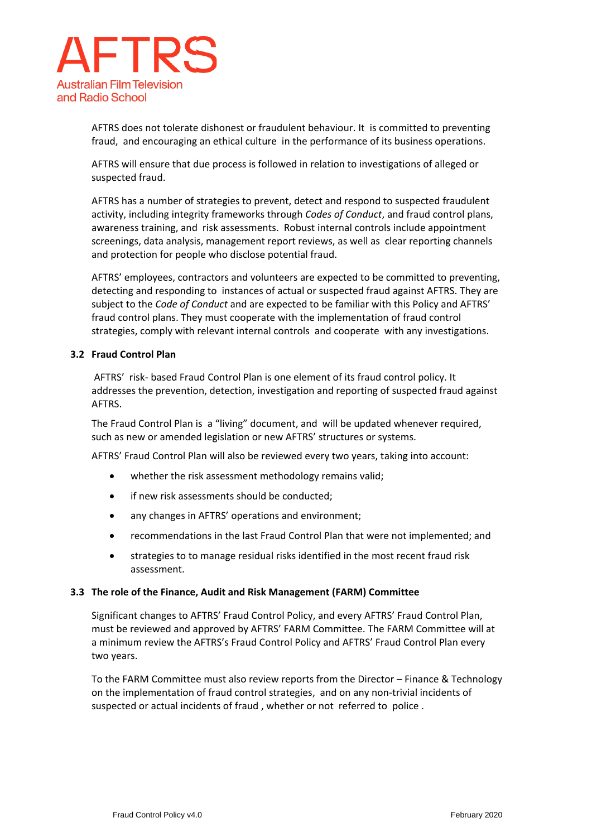

AFTRS does not tolerate dishonest or fraudulent behaviour. It is committed to preventing fraud, and encouraging an ethical culture in the performance of its business operations.

AFTRS will ensure that due process is followed in relation to investigations of alleged or suspected fraud.

AFTRS has a number of strategies to prevent, detect and respond to suspected fraudulent activity, including integrity frameworks through *Codes of Conduct*, and fraud control plans, awareness training, and risk assessments. Robust internal controls include appointment screenings, data analysis, management report reviews, as well as clear reporting channels and protection for people who disclose potential fraud.

AFTRS' employees, contractors and volunteers are expected to be committed to preventing, detecting and responding to instances of actual or suspected fraud against AFTRS. They are subject to the *Code of Conduct* and are expected to be familiar with this Policy and AFTRS' fraud control plans. They must cooperate with the implementation of fraud control strategies, comply with relevant internal controls and cooperate with any investigations.

#### **3.2 Fraud Control Plan**

AFTRS' risk- based Fraud Control Plan is one element of its fraud control policy. It addresses the prevention, detection, investigation and reporting of suspected fraud against AFTRS.

The Fraud Control Plan is a "living" document, and will be updated whenever required, such as new or amended legislation or new AFTRS' structures or systems.

AFTRS' Fraud Control Plan will also be reviewed every two years, taking into account:

- whether the risk assessment methodology remains valid;
- if new risk assessments should be conducted;
- any changes in AFTRS' operations and environment;
- recommendations in the last Fraud Control Plan that were not implemented; and
- strategies to to manage residual risks identified in the most recent fraud risk assessment.

#### **3.3 The role of the Finance, Audit and Risk Management (FARM) Committee**

Significant changes to AFTRS' Fraud Control Policy, and every AFTRS' Fraud Control Plan, must be reviewed and approved by AFTRS' FARM Committee. The FARM Committee will at a minimum review the AFTRS's Fraud Control Policy and AFTRS' Fraud Control Plan every two years.

To the FARM Committee must also review reports from the Director – Finance & Technology on the implementation of fraud control strategies, and on any non-trivial incidents of suspected or actual incidents of fraud , whether or not referred to police .